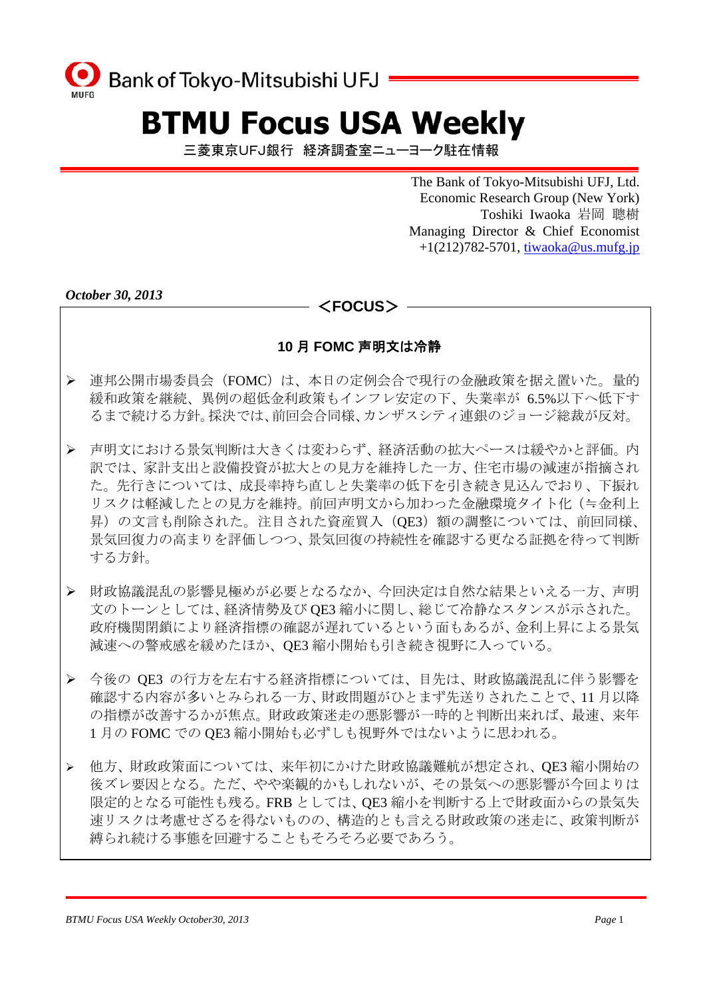

# **BTMU Focus USA Weekly**

三菱東京UFJ銀行 経済調査室ニューヨーク駐在情報

 The Bank of Tokyo-Mitsubishi UFJ, Ltd. Economic Research Group (New York) Toshiki Iwaoka 岩岡 聰樹 Managing Director & Chief Economist  $+1(212)782-5701$ , tiwaoka@us.mufg.jp

*October 30, 2013* 

## <**FOCUS**>

### **10** 月 **FOMC** 声明文は冷静

- ¾ 連邦公開市場委員会(FOMC)は、本日の定例会合で現行の金融政策を据え置いた。量的 緩和政策を継続、異例の超低金利政策もインフレ安定の下、失業率が 6.5%以下へ低下す るまで続ける方針。採決では、前回会合同様、カンザスシティ連銀のジョージ総裁が反対。
- ¾ 声明文における景気判断は大きくは変わらず、経済活動の拡大ペースは緩やかと評価。内 訳では、家計支出と設備投資が拡大との見方を維持した一方、住宅市場の減速が指摘され た。先行きについては、成長率持ち直しと失業率の低下を引き続き見込んでおり、下振れ リスクは軽減したとの見方を維持。前回声明文から加わった金融環境タイト化(≒金利上 昇)の文言も削除された。注目された資産買入 (QE3) 額の調整については、前回同様、 景気回復力の高まりを評価しつつ、景気回復の持続性を確認する更なる証拠を待って判断 する方針。
- ¾ 財政協議混乱の影響見極めが必要となるなか、今回決定は自然な結果といえる一方、声明 文のトーンとしては、経済情勢及び QE3 縮小に関し、総じて冷静なスタンスが示された。 政府機関閉鎖により経済指標の確認が遅れているという面もあるが、金利上昇による景気 減速への警戒感を緩めたほか、QE3 縮小開始も引き続き視野に入っている。
- ¾ 今後の QE3 の行方を左右する経済指標については、目先は、財政協議混乱に伴う影響を 確認する内容が多いとみられる一方、財政問題がひとまず先送りされたことで、11 月以降 の指標が改善するかが焦点。財政政策迷走の悪影響が一時的と判断出来れば、最速、来年 1月の FOMC での OE3 縮小開始も必ずしも視野外ではないように思われる。
- ¾ 他方、財政政策面については、来年初にかけた財政協議難航が想定され、QE3 縮小開始の 後ズレ要因となる。ただ、やや楽観的かもしれないが、その景気への悪影響が今回よりは 限定的となる可能性も残る。FRB としては、QE3 縮小を判断する上で財政面からの景気失 速リスクは考慮せざるを得ないものの、構造的とも言える財政政策の迷走に、政策判断が 縛られ続ける事態を回避することもそろそろ必要であろう。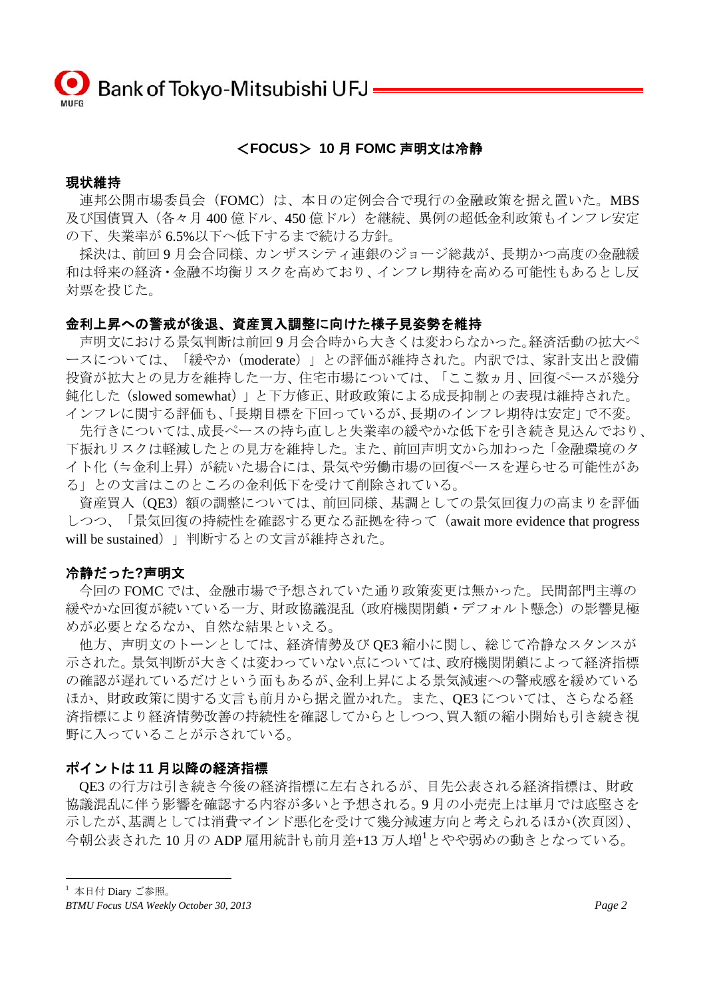#### <**FOCUS**> **10** 月 **FOMC** 声明文は冷静

#### 現状維持

連邦公開市場委員会(FOMC)は、本日の定例会合で現行の金融政策を据え置いた。MBS 及び国債買入(各々月 400 億ドル、450 億ドル)を継続、異例の超低金利政策もインフレ安定 の下、失業率が 6.5%以下へ低下するまで続ける方針。

 採決は、前回 9 月会合同様、カンザスシティ連銀のジョージ総裁が、長期かつ高度の金融緩 和は将来の経済・金融不均衡リスクを高めており、インフレ期待を高める可能性もあるとし反 対票を投じた。

#### 金利上昇への警戒が後退、資産買入調整に向けた様子見姿勢を維持

 声明文における景気判断は前回 9 月会合時から大きくは変わらなかった。経済活動の拡大ペ ースについては、「緩やか(moderate)」との評価が維持された。内訳では、家計支出と設備 投資が拡大との見方を維持した一方、住宅市場については、「ここ数ヵ月、回復ペースが幾分 鈍化した(slowed somewhat)」と下方修正、財政政策による成長抑制との表現は維持された。 インフレに関する評価も、「長期目標を下回っているが、長期のインフレ期待は安定」で不変。

 先行きについては、成長ペースの持ち直しと失業率の緩やかな低下を引き続き見込んでおり、 下振れリスクは軽減したとの見方を維持した。また、前回声明文から加わった「金融環境のタ イト化(≒金利上昇)が続いた場合には、景気や労働市場の回復ペースを遅らせる可能性があ る」との文言はこのところの金利低下を受けて削除されている。

 資産買入(QE3)額の調整については、前回同様、基調としての景気回復力の高まりを評価 しつつ、「景気回復の持続性を確認する更なる証拠を待って(await more evidence that progress will be sustained) | 判断するとの文言が維持された。

#### 冷静だった**?**声明文

 今回の FOMC では、金融市場で予想されていた通り政策変更は無かった。民間部門主導の 緩やかな回復が続いている一方、財政協議混乱(政府機関閉鎖・デフォルト懸念)の影響見極 めが必要となるなか、自然な結果といえる。

 他方、声明文のトーンとしては、経済情勢及び QE3 縮小に関し、総じて冷静なスタンスが 示された。景気判断が大きくは変わっていない点については、政府機関閉鎖によって経済指標 の確認が遅れているだけという面もあるが、金利上昇による景気減速への警戒感を緩めている ほか、財政政策に関する文言も前月から据え置かれた。また、QE3 については、さらなる経 済指標により経済情勢改善の持続性を確認してからとしつつ、買入額の縮小開始も引き続き視 野に入っていることが示されている。

#### ポイントは **11** 月以降の経済指標

QE3 の行方は引き続き今後の経済指標に左右されるが、目先公表される経済指標は、財政 協議混乱に伴う影響を確認する内容が多いと予想される。9 月の小売売上は単月では底堅さを 示したが、基調としては消費マインド悪化を受けて幾分減速方向と考えられるほか(次頁図)、 今朝公表された 10月の ADP 雇用統計も前月差+13 万人増 $^1$ とやや弱めの動きとなっている。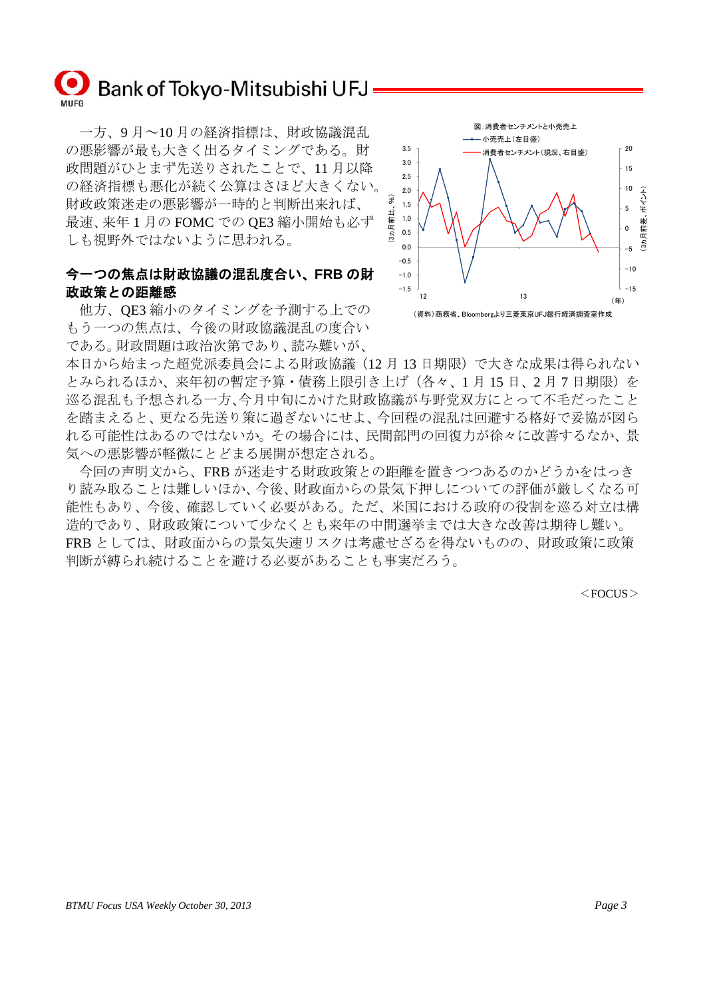

 一方、9 月~10 月の経済指標は、財政協議混乱 の悪影響が最も大きく出るタイミングである。財 政問題がひとまず先送りされたことで、11 月以降 の経済指標も悪化が続く公算はさほど大きくない。 財政政策迷走の悪影響が一時的と判断出来れば、 最速、来年 1 月の FOMC での QE3 縮小開始も必ず しも視野外ではないように思われる。

## 今一つの焦点は財政協議の混乱度合い、**FRB** の財 政政策との距離感

 他方、QE3 縮小のタイミングを予測する上での もう一つの焦点は、今後の財政協議混乱の度合い である。財政問題は政治次第であり、読み難いが、



本日から始まった超党派委員会による財政協議(12 月 13 日期限)で大きな成果は得られない とみられるほか、来年初の暫定予算・債務上限引き上げ(各々、1月15日、2月7日期限)を 巡る混乱も予想される一方、今月中旬にかけた財政協議が与野党双方にとって不毛だったこと を踏まえると、更なる先送り策に過ぎないにせよ、今回程の混乱は回避する格好で妥協が図ら れる可能性はあるのではないか。その場合には、民間部門の回復力が徐々に改善するなか、景 気への悪影響が軽微にとどまる展開が想定される。

 今回の声明文から、FRB が迷走する財政政策との距離を置きつつあるのかどうかをはっき り読み取ることは難しいほか、今後、財政面からの景気下押しについての評価が厳しくなる可 能性もあり、今後、確認していく必要がある。ただ、米国における政府の役割を巡る対立は構 造的であり、財政政策について少なくとも来年の中間選挙までは大きな改善は期待し難い。 FRB としては、財政面からの景気失速リスクは考慮せざるを得ないものの、財政政策に政策 判断が縛られ続けることを避ける必要があることも事実だろう。

 $<$ FOCUS $>$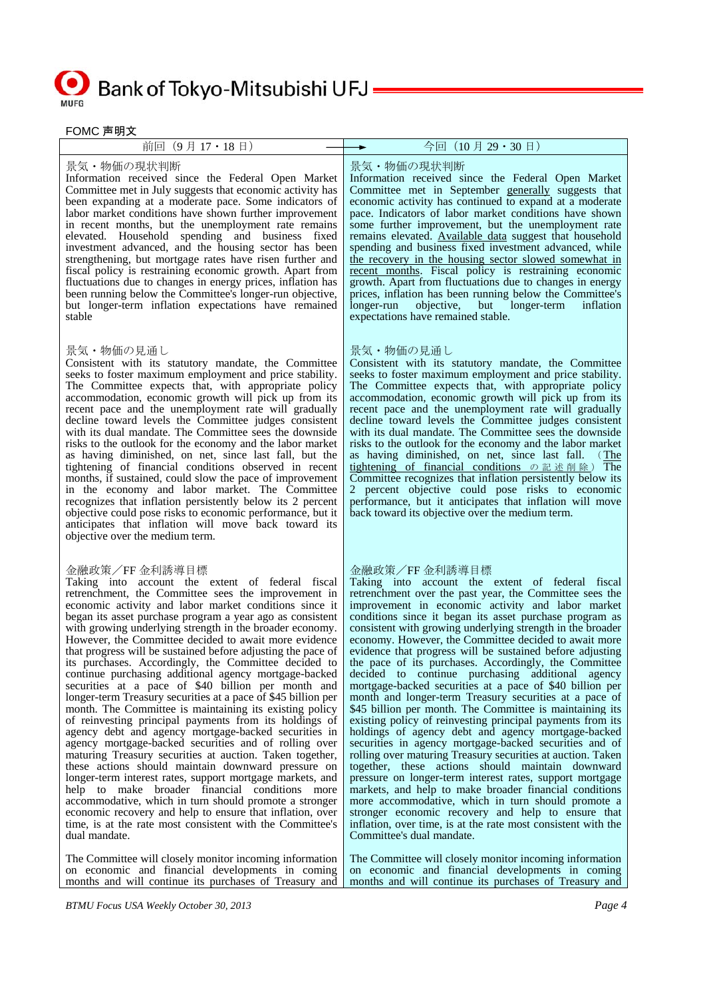## Bank of Tokyo-Mitsubishi UFJ = **MUFG**

FOMC 声明文

| ゠ ◡៲៴៲◡ ┌╴ヮ」へ                                                                                                                                                                                                                                                                                                                                                                                                                                                                                                                                                                                                                                                                                                                                                                                                                                                                                                                                                                                                                                                                                                                                                                                                                                                                                                                                             |                                                                                                                                                                                                                                                                                                                                                                                                                                                                                                                                                                                                                                                                                                                                                                                                                                                                                                                                                                                                                                                                                                                                                                                                                                                                                                                                                                   |
|-----------------------------------------------------------------------------------------------------------------------------------------------------------------------------------------------------------------------------------------------------------------------------------------------------------------------------------------------------------------------------------------------------------------------------------------------------------------------------------------------------------------------------------------------------------------------------------------------------------------------------------------------------------------------------------------------------------------------------------------------------------------------------------------------------------------------------------------------------------------------------------------------------------------------------------------------------------------------------------------------------------------------------------------------------------------------------------------------------------------------------------------------------------------------------------------------------------------------------------------------------------------------------------------------------------------------------------------------------------|-------------------------------------------------------------------------------------------------------------------------------------------------------------------------------------------------------------------------------------------------------------------------------------------------------------------------------------------------------------------------------------------------------------------------------------------------------------------------------------------------------------------------------------------------------------------------------------------------------------------------------------------------------------------------------------------------------------------------------------------------------------------------------------------------------------------------------------------------------------------------------------------------------------------------------------------------------------------------------------------------------------------------------------------------------------------------------------------------------------------------------------------------------------------------------------------------------------------------------------------------------------------------------------------------------------------------------------------------------------------|
| 前回 (9月17·18日)                                                                                                                                                                                                                                                                                                                                                                                                                                                                                                                                                                                                                                                                                                                                                                                                                                                                                                                                                                                                                                                                                                                                                                                                                                                                                                                                             | 今回 (10月29·30日)                                                                                                                                                                                                                                                                                                                                                                                                                                                                                                                                                                                                                                                                                                                                                                                                                                                                                                                                                                                                                                                                                                                                                                                                                                                                                                                                                    |
| 景気・物価の現状判断<br>Information received since the Federal Open Market<br>Committee met in July suggests that economic activity has<br>been expanding at a moderate pace. Some indicators of<br>labor market conditions have shown further improvement<br>in recent months, but the unemployment rate remains<br>elevated. Household spending and business fixed<br>investment advanced, and the housing sector has been<br>strengthening, but mortgage rates have risen further and<br>fiscal policy is restraining economic growth. Apart from<br>fluctuations due to changes in energy prices, inflation has<br>been running below the Committee's longer-run objective,<br>but longer-term inflation expectations have remained<br>stable                                                                                                                                                                                                                                                                                                                                                                                                                                                                                                                                                                                                                   | 景気・物価の現状判断<br>Information received since the Federal Open Market<br>Committee met in September generally suggests that<br>economic activity has continued to expand at a moderate<br>pace. Indicators of labor market conditions have shown<br>some further improvement, but the unemployment rate<br>remains elevated. Available data suggest that household<br>spending and business fixed investment advanced, while<br>the recovery in the housing sector slowed somewhat in<br>recent months. Fiscal policy is restraining economic<br>growth. Apart from fluctuations due to changes in energy<br>prices, inflation has been running below the Committee's<br>longer-run<br>objective,<br>longer-term<br>inflation<br>but<br>expectations have remained stable.                                                                                                                                                                                                                                                                                                                                                                                                                                                                                                                                                                                             |
| 景気・物価の見通し<br>Consistent with its statutory mandate, the Committee<br>seeks to foster maximum employment and price stability.<br>The Committee expects that, with appropriate policy<br>accommodation, economic growth will pick up from its<br>recent pace and the unemployment rate will gradually<br>decline toward levels the Committee judges consistent<br>with its dual mandate. The Committee sees the downside<br>risks to the outlook for the economy and the labor market<br>as having diminished, on net, since last fall, but the<br>tightening of financial conditions observed in recent<br>months, if sustained, could slow the pace of improvement<br>in the economy and labor market. The Committee<br>recognizes that inflation persistently below its 2 percent<br>objective could pose risks to economic performance, but it<br>anticipates that inflation will move back toward its<br>objective over the medium term.                                                                                                                                                                                                                                                                                                                                                                                                               | 景気・物価の見通し<br>Consistent with its statutory mandate, the Committee<br>seeks to foster maximum employment and price stability.<br>The Committee expects that, with appropriate policy<br>accommodation, economic growth will pick up from its<br>recent pace and the unemployment rate will gradually<br>decline toward levels the Committee judges consistent<br>with its dual mandate. The Committee sees the downside<br>risks to the outlook for the economy and the labor market<br>as having diminished, on net, since last fall.<br>$($ The<br>tightening of financial conditions $\circ$ <b>i</b> $\mathbb{R}$ if $\mathbb{R}$ if The<br>Committee recognizes that inflation persistently below its<br>percent objective could pose risks to economic<br>performance, but it anticipates that inflation will move<br>back toward its objective over the medium term.                                                                                                                                                                                                                                                                                                                                                                                                                                                                                        |
| 金融政策/FF 金利誘導目標<br>Taking into account the extent of federal fiscal<br>retrenchment, the Committee sees the improvement in<br>economic activity and labor market conditions since it<br>began its asset purchase program a year ago as consistent<br>with growing underlying strength in the broader economy.<br>However, the Committee decided to await more evidence<br>that progress will be sustained before adjusting the pace of<br>its purchases. Accordingly, the Committee decided to<br>continue purchasing additional agency mortgage-backed<br>securities at a pace of \$40 billion per month and<br>longer-term Treasury securities at a pace of \$45 billion per<br>month. The Committee is maintaining its existing policy<br>of reinvesting principal payments from its holdings of<br>agency debt and agency mortgage-backed securities in<br>agency mortgage-backed securities and of rolling over<br>maturing Treasury securities at auction. Taken together,<br>these actions should maintain downward pressure on<br>longer-term interest rates, support mortgage markets, and<br>help to make broader financial conditions more<br>accommodative, which in turn should promote a stronger<br>economic recovery and help to ensure that inflation, over<br>time, is at the rate most consistent with the Committee's<br>dual mandate. | 金融政策/FF 金利誘導目標<br>Taking into account the extent of federal fiscal<br>retrenchment over the past year, the Committee sees the<br>improvement in economic activity and labor market<br>conditions since it began its asset purchase program as<br>consistent with growing underlying strength in the broader<br>economy. However, the Committee decided to await more<br>evidence that progress will be sustained before adjusting<br>the pace of its purchases. Accordingly, the Committee<br>decided to continue purchasing additional agency<br>mortgage-backed securities at a pace of \$40 billion per<br>month and longer-term Treasury securities at a pace of<br>\$45 billion per month. The Committee is maintaining its<br>existing policy of reinvesting principal payments from its<br>holdings of agency debt and agency mortgage-backed<br>securities in agency mortgage-backed securities and of<br>rolling over maturing Treasury securities at auction. Taken<br>together, these actions should maintain downward<br>pressure on longer-term interest rates, support mortgage<br>markets, and help to make broader financial conditions<br>more accommodative, which in turn should promote a<br>stronger economic recovery and help to ensure that<br>inflation, over time, is at the rate most consistent with the<br>Committee's dual mandate. |
| The Committee will closely monitor incoming information<br>on economic and financial developments in coming<br>months and will continue its purchases of Treasury and                                                                                                                                                                                                                                                                                                                                                                                                                                                                                                                                                                                                                                                                                                                                                                                                                                                                                                                                                                                                                                                                                                                                                                                     | The Committee will closely monitor incoming information<br>on economic and financial developments in coming<br>months and will continue its purchases of Treasury and                                                                                                                                                                                                                                                                                                                                                                                                                                                                                                                                                                                                                                                                                                                                                                                                                                                                                                                                                                                                                                                                                                                                                                                             |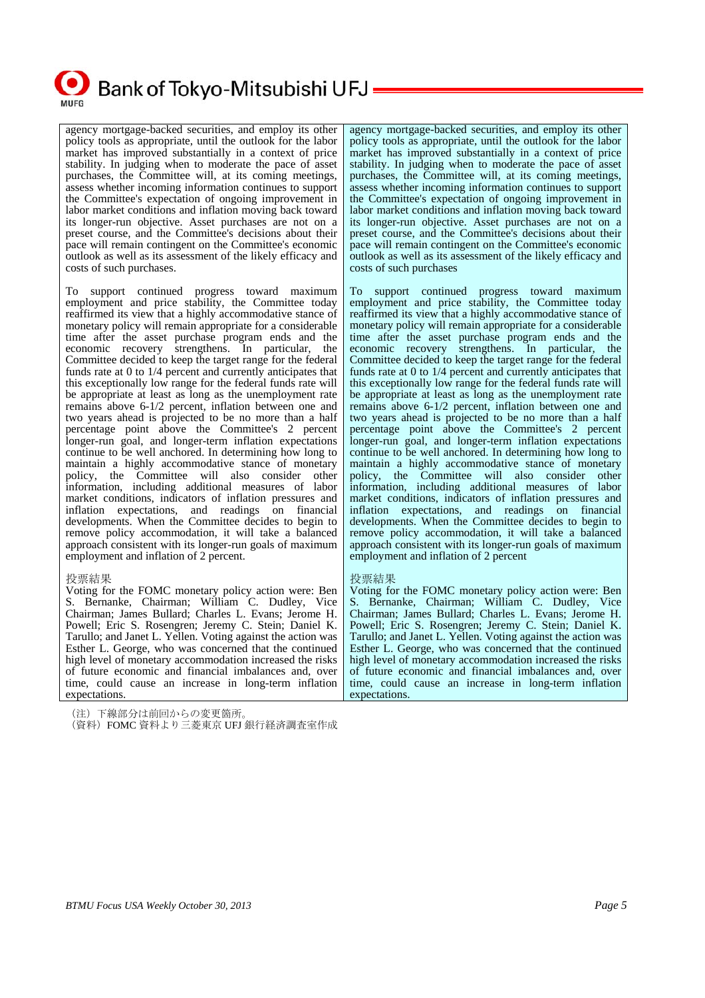

## Bank of Tokyo-Mitsubishi UFJ -

agency mortgage-backed securities, and employ its other policy tools as appropriate, until the outlook for the labor market has improved substantially in a context of price stability. In judging when to moderate the pace of asset purchases, the Committee will, at its coming meetings, assess whether incoming information continues to support the Committee's expectation of ongoing improvement in labor market conditions and inflation moving back toward its longer-run objective. Asset purchases are not on a preset course, and the Committee's decisions about their pace will remain contingent on the Committee's economic outlook as well as its assessment of the likely efficacy and costs of such purchases.

To support continued progress toward maximum employment and price stability, the Committee today reaffirmed its view that a highly accommodative stance of monetary policy will remain appropriate for a considerable time after the asset purchase program ends and the economic recovery strengthens. In particular, the Committee decided to keep the target range for the federal funds rate at 0 to 1/4 percent and currently anticipates that this exceptionally low range for the federal funds rate will be appropriate at least as long as the unemployment rate remains above 6-1/2 percent, inflation between one and two years ahead is projected to be no more than a half percentage point above the Committee's 2 percent longer-run goal, and longer-term inflation expectations continue to be well anchored. In determining how long to maintain a highly accommodative stance of monetary policy, the Committee will also consider other information, including additional measures of labor market conditions, indicators of inflation pressures and inflation expectations, and readings on financial developments. When the Committee decides to begin to remove policy accommodation, it will take a balanced approach consistent with its longer-run goals of maximum employment and inflation of 2 percent.

#### 投票結果

Voting for the FOMC monetary policy action were: Ben S. Bernanke, Chairman; William C. Dudley, Vice Chairman; James Bullard; Charles L. Evans; Jerome H. Powell; Eric S. Rosengren; Jeremy C. Stein; Daniel K. Tarullo; and Janet L. Yellen. Voting against the action was Esther L. George, who was concerned that the continued high level of monetary accommodation increased the risks of future economic and financial imbalances and, over time, could cause an increase in long-term inflation expectations.

(注)下線部分は前回からの変更箇所。

(資料)FOMC 資料より三菱東京 UFJ 銀行経済調査室作成

agency mortgage-backed securities, and employ its other policy tools as appropriate, until the outlook for the labor market has improved substantially in a context of price stability. In judging when to moderate the pace of asset purchases, the Committee will, at its coming meetings, assess whether incoming information continues to support the Committee's expectation of ongoing improvement in labor market conditions and inflation moving back toward its longer-run objective. Asset purchases are not on a preset course, and the Committee's decisions about their pace will remain contingent on the Committee's economic outlook as well as its assessment of the likely efficacy and costs of such purchases

To support continued progress toward maximum employment and price stability, the Committee today reaffirmed its view that a highly accommodative stance of monetary policy will remain appropriate for a considerable time after the asset purchase program ends and the economic recovery strengthens. In particular, the Committee decided to keep the target range for the federal funds rate at 0 to 1/4 percent and currently anticipates that this exceptionally low range for the federal funds rate will be appropriate at least as long as the unemployment rate remains above 6-1/2 percent, inflation between one and two years ahead is projected to be no more than a half percentage point above the Committee's 2 percent longer-run goal, and longer-term inflation expectations continue to be well anchored. In determining how long to maintain a highly accommodative stance of monetary policy, the Committee will also consider other information, including additional measures of labor market conditions, indicators of inflation pressures and inflation expectations, and readings on financial developments. When the Committee decides to begin to remove policy accommodation, it will take a balanced approach consistent with its longer-run goals of maximum employment and inflation of 2 percent

#### 投票結果

Voting for the FOMC monetary policy action were: Ben S. Bernanke, Chairman; William C. Dudley, Vice Chairman; James Bullard; Charles L. Evans; Jerome H. Powell; Eric S. Rosengren; Jeremy C. Stein; Daniel K. Tarullo; and Janet L. Yellen. Voting against the action was Esther L. George, who was concerned that the continued high level of monetary accommodation increased the risks of future economic and financial imbalances and, over time, could cause an increase in long-term inflation expectations.